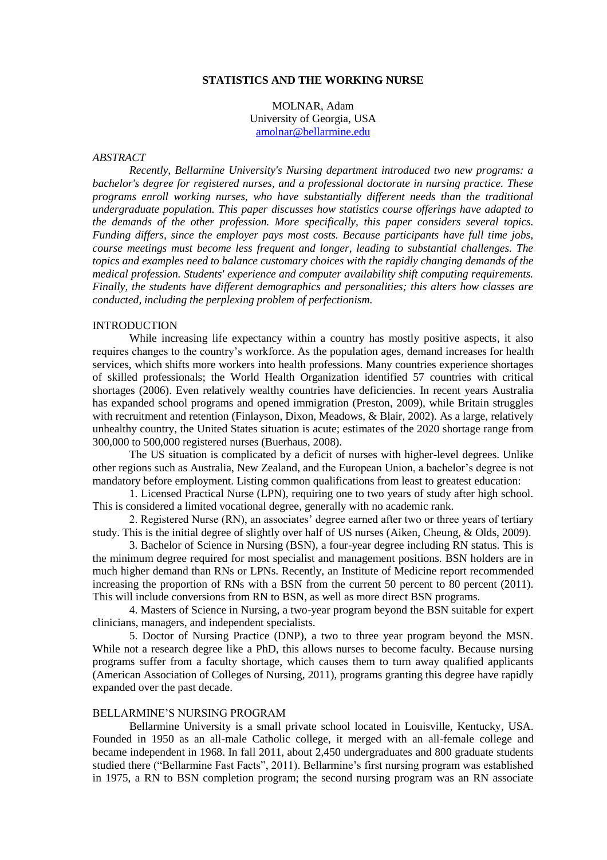## **STATISTICS AND THE WORKING NURSE**

MOLNAR, Adam University of Georgia, USA [amolnar@bellarmine.edu](mailto:amolnar@bellarmine.edu)

### *ABSTRACT*

*Recently, Bellarmine University's Nursing department introduced two new programs: a bachelor's degree for registered nurses, and a professional doctorate in nursing practice. These programs enroll working nurses, who have substantially different needs than the traditional undergraduate population. This paper discusses how statistics course offerings have adapted to the demands of the other profession. More specifically, this paper considers several topics. Funding differs, since the employer pays most costs. Because participants have full time jobs, course meetings must become less frequent and longer, leading to substantial challenges. The topics and examples need to balance customary choices with the rapidly changing demands of the medical profession. Students' experience and computer availability shift computing requirements. Finally, the students have different demographics and personalities; this alters how classes are conducted, including the perplexing problem of perfectionism.*

## INTRODUCTION

While increasing life expectancy within a country has mostly positive aspects, it also requires changes to the country's workforce. As the population ages, demand increases for health services, which shifts more workers into health professions. Many countries experience shortages of skilled professionals; the World Health Organization identified 57 countries with critical shortages (2006). Even relatively wealthy countries have deficiencies. In recent years Australia has expanded school programs and opened immigration (Preston, 2009), while Britain struggles with recruitment and retention (Finlayson, Dixon, Meadows, & Blair, 2002). As a large, relatively unhealthy country, the United States situation is acute; estimates of the 2020 shortage range from 300,000 to 500,000 registered nurses (Buerhaus, 2008).

The US situation is complicated by a deficit of nurses with higher-level degrees. Unlike other regions such as Australia, New Zealand, and the European Union, a bachelor's degree is not mandatory before employment. Listing common qualifications from least to greatest education:

1. Licensed Practical Nurse (LPN), requiring one to two years of study after high school. This is considered a limited vocational degree, generally with no academic rank.

2. Registered Nurse (RN), an associates' degree earned after two or three years of tertiary study. This is the initial degree of slightly over half of US nurses (Aiken, Cheung, & Olds, 2009).

3. Bachelor of Science in Nursing (BSN), a four-year degree including RN status. This is the minimum degree required for most specialist and management positions. BSN holders are in much higher demand than RNs or LPNs. Recently, an Institute of Medicine report recommended increasing the proportion of RNs with a BSN from the current 50 percent to 80 percent (2011). This will include conversions from RN to BSN, as well as more direct BSN programs.

4. Masters of Science in Nursing, a two-year program beyond the BSN suitable for expert clinicians, managers, and independent specialists.

5. Doctor of Nursing Practice (DNP), a two to three year program beyond the MSN. While not a research degree like a PhD, this allows nurses to become faculty. Because nursing programs suffer from a faculty shortage, which causes them to turn away qualified applicants (American Association of Colleges of Nursing, 2011), programs granting this degree have rapidly expanded over the past decade.

#### BELLARMINE'S NURSING PROGRAM

Bellarmine University is a small private school located in Louisville, Kentucky, USA. Founded in 1950 as an all-male Catholic college, it merged with an all-female college and became independent in 1968. In fall 2011, about 2,450 undergraduates and 800 graduate students studied there ("Bellarmine Fast Facts", 2011). Bellarmine's first nursing program was established in 1975, a RN to BSN completion program; the second nursing program was an RN associate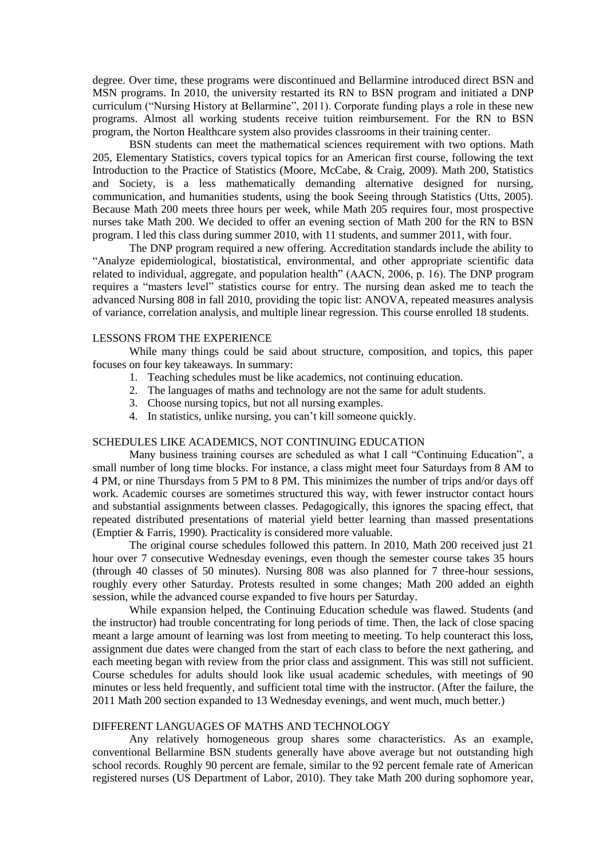degree. Over time, these programs were discontinued and Bellarmine introduced direct BSN and MSN programs. In 2010, the university restarted its RN to BSN program and initiated a DNP curriculum ("Nursing History at Bellarmine", 2011). Corporate funding plays a role in these new programs. Almost all working students receive tuition reimbursement. For the RN to BSN program, the Norton Healthcare system also provides classrooms in their training center.

BSN students can meet the mathematical sciences requirement with two options. Math 205, Elementary Statistics, covers typical topics for an American first course, following the text Introduction to the Practice of Statistics (Moore, McCabe, & Craig, 2009). Math 200, Statistics and Society, is a less mathematically demanding alternative designed for nursing, communication, and humanities students, using the book Seeing through Statistics (Utts, 2005). Because Math 200 meets three hours per week, while Math 205 requires four, most prospective nurses take Math 200. We decided to offer an evening section of Math 200 for the RN to BSN program. I led this class during summer 2010, with 11 students, and summer 2011, with four.

The DNP program required a new offering. Accreditation standards include the ability to "Analyze epidemiological, biostatistical, environmental, and other appropriate scientific data related to individual, aggregate, and population health" (AACN, 2006, p. 16). The DNP program requires a "masters level" statistics course for entry. The nursing dean asked me to teach the advanced Nursing 808 in fall 2010, providing the topic list: ANOVA, repeated measures analysis of variance, correlation analysis, and multiple linear regression. This course enrolled 18 students.

### LESSONS FROM THE EXPERIENCE

While many things could be said about structure, composition, and topics, this paper focuses on four key takeaways. In summary:

- 1. Teaching schedules must be like academics, not continuing education.
- 2. The languages of maths and technology are not the same for adult students.
- 3. Choose nursing topics, but not all nursing examples.
- 4. In statistics, unlike nursing, you can't kill someone quickly.

## SCHEDULES LIKE ACADEMICS, NOT CONTINUING EDUCATION

Many business training courses are scheduled as what I call "Continuing Education", a small number of long time blocks. For instance, a class might meet four Saturdays from 8 AM to 4 PM, or nine Thursdays from 5 PM to 8 PM. This minimizes the number of trips and/or days off work. Academic courses are sometimes structured this way, with fewer instructor contact hours and substantial assignments between classes. Pedagogically, this ignores the spacing effect, that repeated distributed presentations of material yield better learning than massed presentations (Emptier & Farris, 1990). Practicality is considered more valuable.

The original course schedules followed this pattern. In 2010, Math 200 received just 21 hour over 7 consecutive Wednesday evenings, even though the semester course takes 35 hours (through 40 classes of 50 minutes). Nursing 808 was also planned for 7 three-hour sessions, roughly every other Saturday. Protests resulted in some changes; Math 200 added an eighth session, while the advanced course expanded to five hours per Saturday.

While expansion helped, the Continuing Education schedule was flawed. Students (and the instructor) had trouble concentrating for long periods of time. Then, the lack of close spacing meant a large amount of learning was lost from meeting to meeting. To help counteract this loss, assignment due dates were changed from the start of each class to before the next gathering, and each meeting began with review from the prior class and assignment. This was still not sufficient. Course schedules for adults should look like usual academic schedules, with meetings of 90 minutes or less held frequently, and sufficient total time with the instructor. (After the failure, the 2011 Math 200 section expanded to 13 Wednesday evenings, and went much, much better.)

# DIFFERENT LANGUAGES OF MATHS AND TECHNOLOGY

Any relatively homogeneous group shares some characteristics. As an example, conventional Bellarmine BSN students generally have above average but not outstanding high school records. Roughly 90 percent are female, similar to the 92 percent female rate of American registered nurses (US Department of Labor, 2010). They take Math 200 during sophomore year,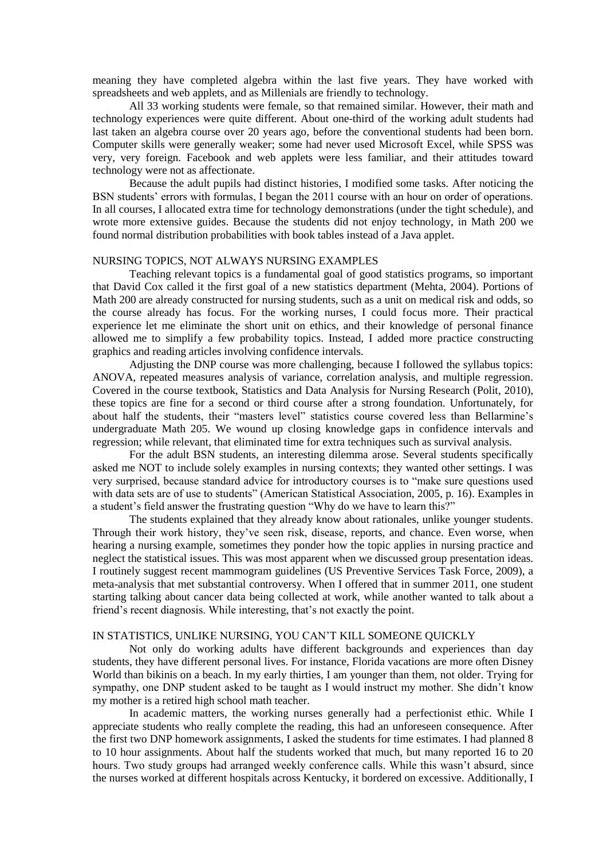meaning they have completed algebra within the last five years. They have worked with spreadsheets and web applets, and as Millenials are friendly to technology.

All 33 working students were female, so that remained similar. However, their math and technology experiences were quite different. About one-third of the working adult students had last taken an algebra course over 20 years ago, before the conventional students had been born. Computer skills were generally weaker; some had never used Microsoft Excel, while SPSS was very, very foreign. Facebook and web applets were less familiar, and their attitudes toward technology were not as affectionate.

Because the adult pupils had distinct histories, I modified some tasks. After noticing the BSN students' errors with formulas, I began the 2011 course with an hour on order of operations. In all courses, I allocated extra time for technology demonstrations (under the tight schedule), and wrote more extensive guides. Because the students did not enjoy technology, in Math 200 we found normal distribution probabilities with book tables instead of a Java applet.

## NURSING TOPICS, NOT ALWAYS NURSING EXAMPLES

Teaching relevant topics is a fundamental goal of good statistics programs, so important that David Cox called it the first goal of a new statistics department (Mehta, 2004). Portions of Math 200 are already constructed for nursing students, such as a unit on medical risk and odds, so the course already has focus. For the working nurses, I could focus more. Their practical experience let me eliminate the short unit on ethics, and their knowledge of personal finance allowed me to simplify a few probability topics. Instead, I added more practice constructing graphics and reading articles involving confidence intervals.

Adjusting the DNP course was more challenging, because I followed the syllabus topics: ANOVA, repeated measures analysis of variance, correlation analysis, and multiple regression. Covered in the course textbook, Statistics and Data Analysis for Nursing Research (Polit, 2010), these topics are fine for a second or third course after a strong foundation. Unfortunately, for about half the students, their "masters level" statistics course covered less than Bellarmine's undergraduate Math 205. We wound up closing knowledge gaps in confidence intervals and regression; while relevant, that eliminated time for extra techniques such as survival analysis.

For the adult BSN students, an interesting dilemma arose. Several students specifically asked me NOT to include solely examples in nursing contexts; they wanted other settings. I was very surprised, because standard advice for introductory courses is to "make sure questions used with data sets are of use to students" (American Statistical Association, 2005, p. 16). Examples in a student's field answer the frustrating question "Why do we have to learn this?"

The students explained that they already know about rationales, unlike younger students. Through their work history, they've seen risk, disease, reports, and chance. Even worse, when hearing a nursing example, sometimes they ponder how the topic applies in nursing practice and neglect the statistical issues. This was most apparent when we discussed group presentation ideas. I routinely suggest recent mammogram guidelines (US Preventive Services Task Force, 2009), a meta-analysis that met substantial controversy. When I offered that in summer 2011, one student starting talking about cancer data being collected at work, while another wanted to talk about a friend's recent diagnosis. While interesting, that's not exactly the point.

## IN STATISTICS, UNLIKE NURSING, YOU CAN'T KILL SOMEONE QUICKLY

Not only do working adults have different backgrounds and experiences than day students, they have different personal lives. For instance, Florida vacations are more often Disney World than bikinis on a beach. In my early thirties, I am younger than them, not older. Trying for sympathy, one DNP student asked to be taught as I would instruct my mother. She didn't know my mother is a retired high school math teacher.

In academic matters, the working nurses generally had a perfectionist ethic. While I appreciate students who really complete the reading, this had an unforeseen consequence. After the first two DNP homework assignments, I asked the students for time estimates. I had planned 8 to 10 hour assignments. About half the students worked that much, but many reported 16 to 20 hours. Two study groups had arranged weekly conference calls. While this wasn't absurd, since the nurses worked at different hospitals across Kentucky, it bordered on excessive. Additionally, I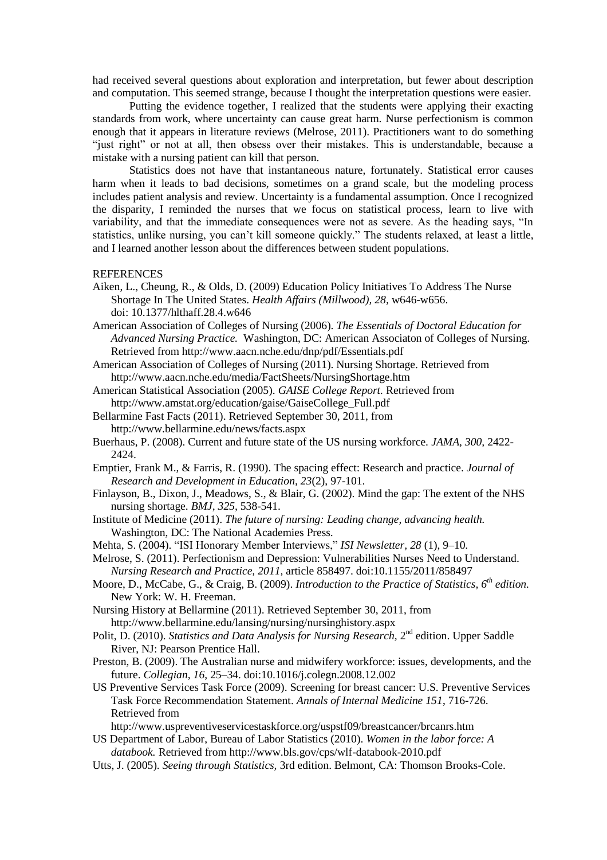had received several questions about exploration and interpretation, but fewer about description and computation. This seemed strange, because I thought the interpretation questions were easier.

Putting the evidence together, I realized that the students were applying their exacting standards from work, where uncertainty can cause great harm. Nurse perfectionism is common enough that it appears in literature reviews (Melrose, 2011). Practitioners want to do something "just right" or not at all, then obsess over their mistakes. This is understandable, because a mistake with a nursing patient can kill that person.

Statistics does not have that instantaneous nature, fortunately. Statistical error causes harm when it leads to bad decisions, sometimes on a grand scale, but the modeling process includes patient analysis and review. Uncertainty is a fundamental assumption. Once I recognized the disparity, I reminded the nurses that we focus on statistical process, learn to live with variability, and that the immediate consequences were not as severe. As the heading says, "In statistics, unlike nursing, you can't kill someone quickly." The students relaxed, at least a little, and I learned another lesson about the differences between student populations.

### REFERENCES

- Aiken, L., Cheung, R., & Olds, D. (2009) Education Policy Initiatives To Address The Nurse Shortage In The United States. *Health Affairs (Millwood), 28,* w646-w656. doi: 10.1377/hlthaff.28.4.w646
- American Association of Colleges of Nursing (2006). *The Essentials of Doctoral Education for Advanced Nursing Practice.* Washington, DC: American Associaton of Colleges of Nursing. Retrieved from http://www.aacn.nche.edu/dnp/pdf/Essentials.pdf

American Association of Colleges of Nursing (2011). Nursing Shortage. Retrieved from http://www.aacn.nche.edu/media/FactSheets/NursingShortage.htm

- American Statistical Association (2005). *GAISE College Report.* Retrieved from http://www.amstat.org/education/gaise/GaiseCollege\_Full.pdf
- Bellarmine Fast Facts (2011). Retrieved September 30, 2011, from http://www.bellarmine.edu/news/facts.aspx
- Buerhaus, P. (2008). Current and future state of the US nursing workforce. *JAMA, 300,* 2422- 2424.
- Emptier, Frank M., & Farris, R. (1990). The spacing effect: Research and practice. *Journal of Research and Development in Education, 23*(2), 97-101.
- Finlayson, B., Dixon, J., Meadows, S., & Blair, G. (2002). Mind the gap: The extent of the NHS nursing shortage. *BMJ, 325,* 538-541.
- Institute of Medicine (2011). *The future of nursing: Leading change, advancing health.* Washington, DC: The National Academies Press.
- Mehta, S. (2004). "ISI Honorary Member Interviews," *ISI Newsletter, 28* (1), 9–10.
- Melrose, S. (2011). Perfectionism and Depression: Vulnerabilities Nurses Need to Understand. *Nursing Research and Practice, 2011,* article 858497. doi:10.1155/2011/858497
- Moore, D., McCabe, G., & Craig, B. (2009). *Introduction to the Practice of Statistics, 6th edition.* New York: W. H. Freeman.
- Nursing History at Bellarmine (2011). Retrieved September 30, 2011, from http://www.bellarmine.edu/lansing/nursing/nursinghistory.aspx
- Polit, D. (2010). *Statistics and Data Analysis for Nursing Research*, 2<sup>nd</sup> edition. Upper Saddle River, NJ: Pearson Prentice Hall.
- Preston, B. (2009). The Australian nurse and midwifery workforce: issues, developments, and the future. *Collegian, 16*, 25–34. doi:10.1016/j.colegn.2008.12.002
- US Preventive Services Task Force (2009). Screening for breast cancer: U.S. Preventive Services Task Force Recommendation Statement. *Annals of Internal Medicine 151*, 716-726. Retrieved from

http://www.uspreventiveservicestaskforce.org/uspstf09/breastcancer/brcanrs.htm

- US Department of Labor, Bureau of Labor Statistics (2010). *Women in the labor force: A databook.* Retrieved from http://www.bls.gov/cps/wlf-databook-2010.pdf
- Utts, J. (2005). *Seeing through Statistics,* 3rd edition. Belmont, CA: Thomson Brooks-Cole.